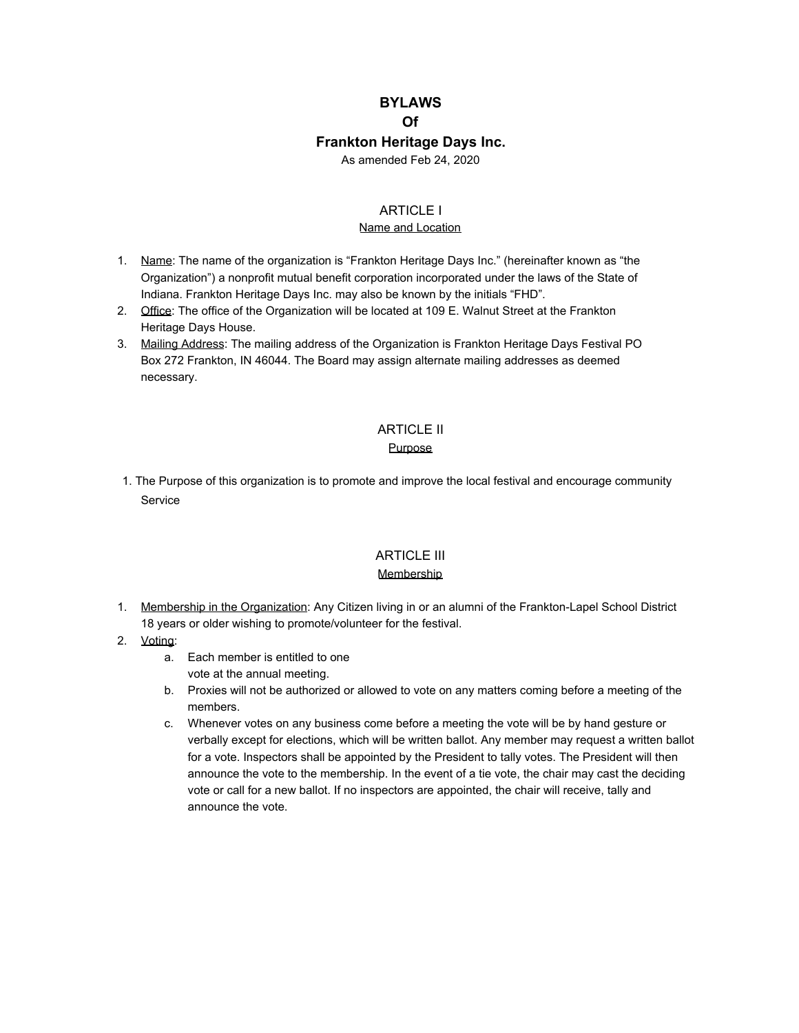# **BYLAWS Of Frankton Heritage Days Inc.**

As amended Feb 24, 2020

### ARTICLE I

#### Name and Location

- 1. Name: The name of the organization is "Frankton Heritage Days Inc." (hereinafter known as "the Organization") a nonprofit mutual benefit corporation incorporated under the laws of the State of Indiana. Frankton Heritage Days Inc. may also be known by the initials "FHD".
- 2. Office: The office of the Organization will be located at 109 E. Walnut Street at the Frankton Heritage Days House.
- 3. Mailing Address: The mailing address of the Organization is Frankton Heritage Days Festival PO Box 272 Frankton, IN 46044. The Board may assign alternate mailing addresses as deemed necessary.

# ARTICLE II

## Purpose

1. The Purpose of this organization is to promote and improve the local festival and encourage community **Service** 

# ARTICLE III

### **Membership**

- 1. Membership in the Organization: Any Citizen living in or an alumni of the Frankton-Lapel School District 18 years or older wishing to promote/volunteer for the festival.
- 2. Voting:
	- a. Each member is entitled to one vote at the annual meeting.
	- b. Proxies will not be authorized or allowed to vote on any matters coming before a meeting of the members.
	- c. Whenever votes on any business come before a meeting the vote will be by hand gesture or verbally except for elections, which will be written ballot. Any member may request a written ballot for a vote. Inspectors shall be appointed by the President to tally votes. The President will then announce the vote to the membership. In the event of a tie vote, the chair may cast the deciding vote or call for a new ballot. If no inspectors are appointed, the chair will receive, tally and announce the vote.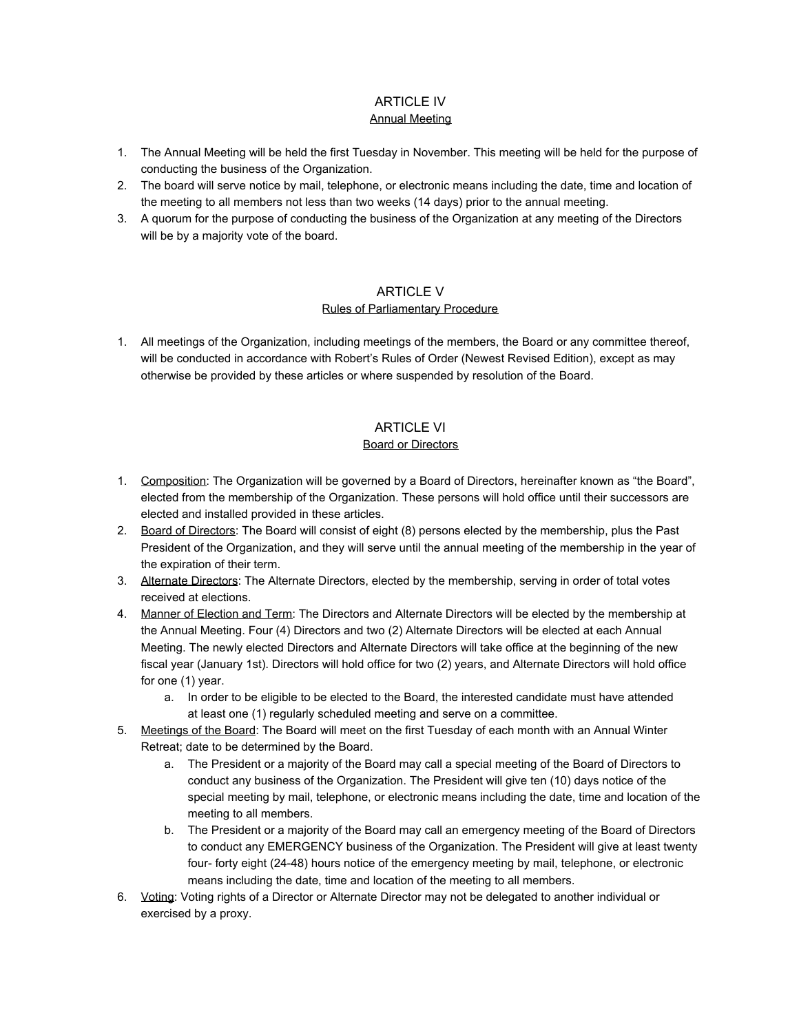#### ARTICLE IV Annual Meeting

- 1. The Annual Meeting will be held the first Tuesday in November. This meeting will be held for the purpose of conducting the business of the Organization.
- 2. The board will serve notice by mail, telephone, or electronic means including the date, time and location of the meeting to all members not less than two weeks (14 days) prior to the annual meeting.
- 3. A quorum for the purpose of conducting the business of the Organization at any meeting of the Directors will be by a majority vote of the board.

### ARTICLE V

### Rules of Parliamentary Procedure

1. All meetings of the Organization, including meetings of the members, the Board or any committee thereof, will be conducted in accordance with Robert's Rules of Order (Newest Revised Edition), except as may otherwise be provided by these articles or where suspended by resolution of the Board.

# ARTICLE VI

# Board or Directors

- 1. Composition: The Organization will be governed by a Board of Directors, hereinafter known as "the Board", elected from the membership of the Organization. These persons will hold office until their successors are elected and installed provided in these articles.
- 2. Board of Directors: The Board will consist of eight (8) persons elected by the membership, plus the Past President of the Organization, and they will serve until the annual meeting of the membership in the year of the expiration of their term.
- 3. Alternate Directors: The Alternate Directors, elected by the membership, serving in order of total votes received at elections.
- 4. Manner of Election and Term: The Directors and Alternate Directors will be elected by the membership at the Annual Meeting. Four (4) Directors and two (2) Alternate Directors will be elected at each Annual Meeting. The newly elected Directors and Alternate Directors will take office at the beginning of the new fiscal year (January 1st). Directors will hold office for two (2) years, and Alternate Directors will hold office for one (1) year.
	- a. In order to be eligible to be elected to the Board, the interested candidate must have attended at least one (1) regularly scheduled meeting and serve on a committee.
- 5. Meetings of the Board: The Board will meet on the first Tuesday of each month with an Annual Winter Retreat; date to be determined by the Board.
	- a. The President or a majority of the Board may call a special meeting of the Board of Directors to conduct any business of the Organization. The President will give ten (10) days notice of the special meeting by mail, telephone, or electronic means including the date, time and location of the meeting to all members.
	- b. The President or a majority of the Board may call an emergency meeting of the Board of Directors to conduct any EMERGENCY business of the Organization. The President will give at least twenty four- forty eight (24-48) hours notice of the emergency meeting by mail, telephone, or electronic means including the date, time and location of the meeting to all members.
- 6. Voting: Voting rights of a Director or Alternate Director may not be delegated to another individual or exercised by a proxy.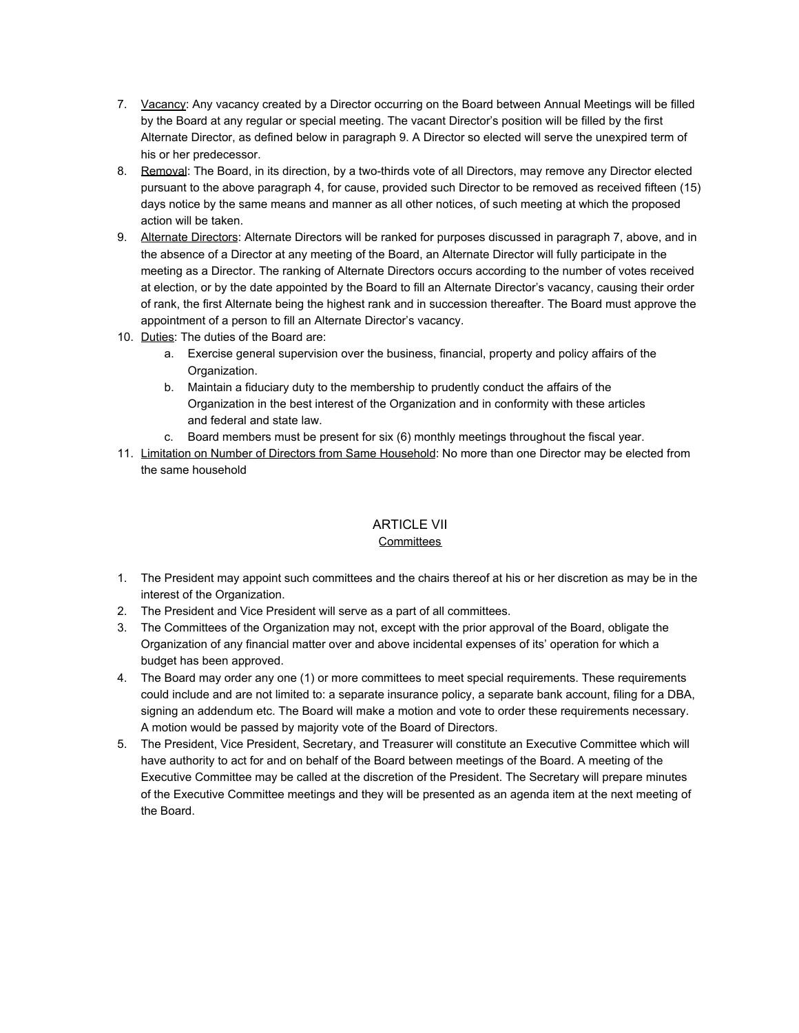- 7. Vacancy: Any vacancy created by a Director occurring on the Board between Annual Meetings will be filled by the Board at any regular or special meeting. The vacant Director's position will be filled by the first Alternate Director, as defined below in paragraph 9. A Director so elected will serve the unexpired term of his or her predecessor.
- 8. Removal: The Board, in its direction, by a two-thirds vote of all Directors, may remove any Director elected pursuant to the above paragraph 4, for cause, provided such Director to be removed as received fifteen (15) days notice by the same means and manner as all other notices, of such meeting at which the proposed action will be taken.
- 9. Alternate Directors: Alternate Directors will be ranked for purposes discussed in paragraph 7, above, and in the absence of a Director at any meeting of the Board, an Alternate Director will fully participate in the meeting as a Director. The ranking of Alternate Directors occurs according to the number of votes received at election, or by the date appointed by the Board to fill an Alternate Director's vacancy, causing their order of rank, the first Alternate being the highest rank and in succession thereafter. The Board must approve the appointment of a person to fill an Alternate Director's vacancy.
- 10. Duties: The duties of the Board are:
	- a. Exercise general supervision over the business, financial, property and policy affairs of the Organization.
	- b. Maintain a fiduciary duty to the membership to prudently conduct the affairs of the Organization in the best interest of the Organization and in conformity with these articles and federal and state law.
	- c. Board members must be present for six (6) monthly meetings throughout the fiscal year.
- 11. Limitation on Number of Directors from Same Household: No more than one Director may be elected from the same household

# ARTICLE VII

#### **Committees**

- 1. The President may appoint such committees and the chairs thereof at his or her discretion as may be in the interest of the Organization.
- 2. The President and Vice President will serve as a part of all committees.
- 3. The Committees of the Organization may not, except with the prior approval of the Board, obligate the Organization of any financial matter over and above incidental expenses of its' operation for which a budget has been approved.
- 4. The Board may order any one (1) or more committees to meet special requirements. These requirements could include and are not limited to: a separate insurance policy, a separate bank account, filing for a DBA, signing an addendum etc. The Board will make a motion and vote to order these requirements necessary. A motion would be passed by majority vote of the Board of Directors.
- 5. The President, Vice President, Secretary, and Treasurer will constitute an Executive Committee which will have authority to act for and on behalf of the Board between meetings of the Board. A meeting of the Executive Committee may be called at the discretion of the President. The Secretary will prepare minutes of the Executive Committee meetings and they will be presented as an agenda item at the next meeting of the Board.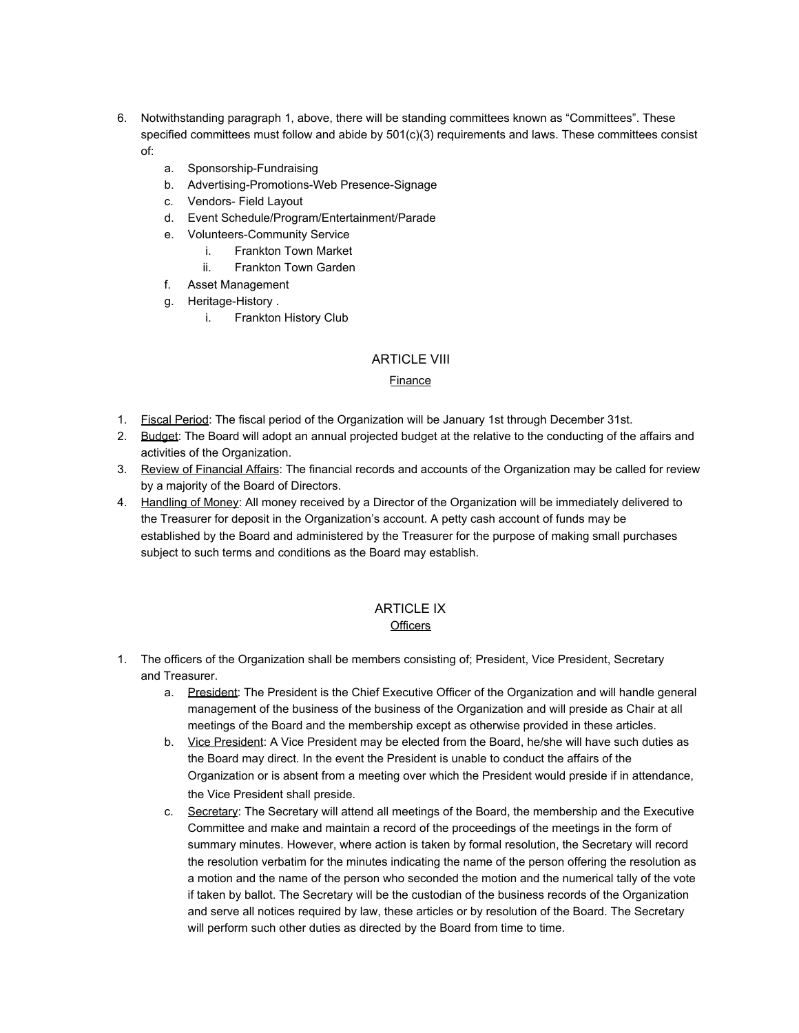- 6. Notwithstanding paragraph 1, above, there will be standing committees known as "Committees". These specified committees must follow and abide by  $501(c)(3)$  requirements and laws. These committees consist of:
	- a. Sponsorship-Fundraising
	- b. Advertising-Promotions-Web Presence-Signage
	- c. Vendors- Field Layout
	- d. Event Schedule/Program/Entertainment/Parade
	- e. Volunteers-Community Service
		- i. Frankton Town Market
		- ii. Frankton Town Garden
	- f. Asset Management
	- g. Heritage-History .
		- i. Frankton History Club

## ARTICLE VIII

### Finance

- 1. Fiscal Period: The fiscal period of the Organization will be January 1st through December 31st.
- 2. Budget: The Board will adopt an annual projected budget at the relative to the conducting of the affairs and activities of the Organization.
- 3. Review of Financial Affairs: The financial records and accounts of the Organization may be called for review by a majority of the Board of Directors.
- 4. Handling of Money: All money received by a Director of the Organization will be immediately delivered to the Treasurer for deposit in the Organization's account. A petty cash account of funds may be established by the Board and administered by the Treasurer for the purpose of making small purchases subject to such terms and conditions as the Board may establish.

#### ARTICLE IX **Officers**

- 1. The officers of the Organization shall be members consisting of; President, Vice President, Secretary and Treasurer.
	- a. President: The President is the Chief Executive Officer of the Organization and will handle general management of the business of the business of the Organization and will preside as Chair at all meetings of the Board and the membership except as otherwise provided in these articles.
	- b. Vice President: A Vice President may be elected from the Board, he/she will have such duties as the Board may direct. In the event the President is unable to conduct the affairs of the Organization or is absent from a meeting over which the President would preside if in attendance, the Vice President shall preside.
	- c. Secretary: The Secretary will attend all meetings of the Board, the membership and the Executive Committee and make and maintain a record of the proceedings of the meetings in the form of summary minutes. However, where action is taken by formal resolution, the Secretary will record the resolution verbatim for the minutes indicating the name of the person offering the resolution as a motion and the name of the person who seconded the motion and the numerical tally of the vote if taken by ballot. The Secretary will be the custodian of the business records of the Organization and serve all notices required by law, these articles or by resolution of the Board. The Secretary will perform such other duties as directed by the Board from time to time.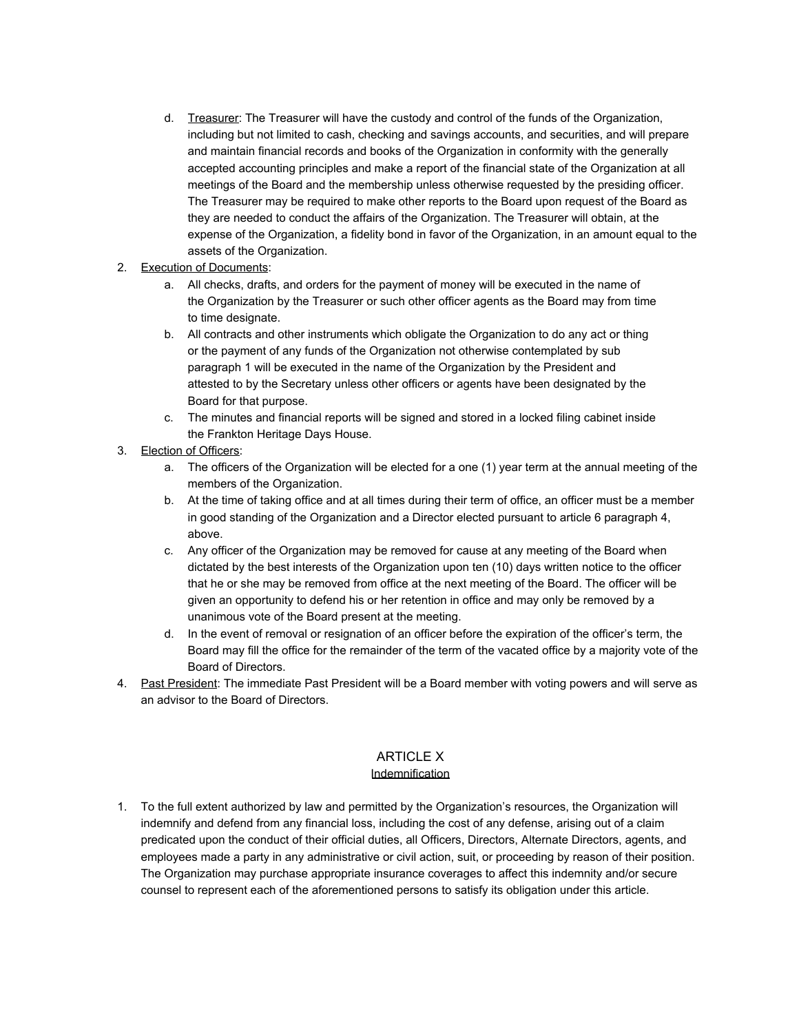d. Treasurer: The Treasurer will have the custody and control of the funds of the Organization, including but not limited to cash, checking and savings accounts, and securities, and will prepare and maintain financial records and books of the Organization in conformity with the generally accepted accounting principles and make a report of the financial state of the Organization at all meetings of the Board and the membership unless otherwise requested by the presiding officer. The Treasurer may be required to make other reports to the Board upon request of the Board as they are needed to conduct the affairs of the Organization. The Treasurer will obtain, at the expense of the Organization, a fidelity bond in favor of the Organization, in an amount equal to the assets of the Organization.

#### 2. Execution of Documents:

- a. All checks, drafts, and orders for the payment of money will be executed in the name of the Organization by the Treasurer or such other officer agents as the Board may from time to time designate.
- b. All contracts and other instruments which obligate the Organization to do any act or thing or the payment of any funds of the Organization not otherwise contemplated by sub paragraph 1 will be executed in the name of the Organization by the President and attested to by the Secretary unless other officers or agents have been designated by the Board for that purpose.
- c. The minutes and financial reports will be signed and stored in a locked filing cabinet inside the Frankton Heritage Days House.

## 3. Election of Officers:

- a. The officers of the Organization will be elected for a one (1) year term at the annual meeting of the members of the Organization.
- b. At the time of taking office and at all times during their term of office, an officer must be a member in good standing of the Organization and a Director elected pursuant to article 6 paragraph 4, above.
- c. Any officer of the Organization may be removed for cause at any meeting of the Board when dictated by the best interests of the Organization upon ten (10) days written notice to the officer that he or she may be removed from office at the next meeting of the Board. The officer will be given an opportunity to defend his or her retention in office and may only be removed by a unanimous vote of the Board present at the meeting.
- d. In the event of removal or resignation of an officer before the expiration of the officer's term, the Board may fill the office for the remainder of the term of the vacated office by a majority vote of the Board of Directors.
- 4. Past President: The immediate Past President will be a Board member with voting powers and will serve as an advisor to the Board of Directors.

# ARTICLE X

#### Indemnification

1. To the full extent authorized by law and permitted by the Organization's resources, the Organization will indemnify and defend from any financial loss, including the cost of any defense, arising out of a claim predicated upon the conduct of their official duties, all Officers, Directors, Alternate Directors, agents, and employees made a party in any administrative or civil action, suit, or proceeding by reason of their position. The Organization may purchase appropriate insurance coverages to affect this indemnity and/or secure counsel to represent each of the aforementioned persons to satisfy its obligation under this article.